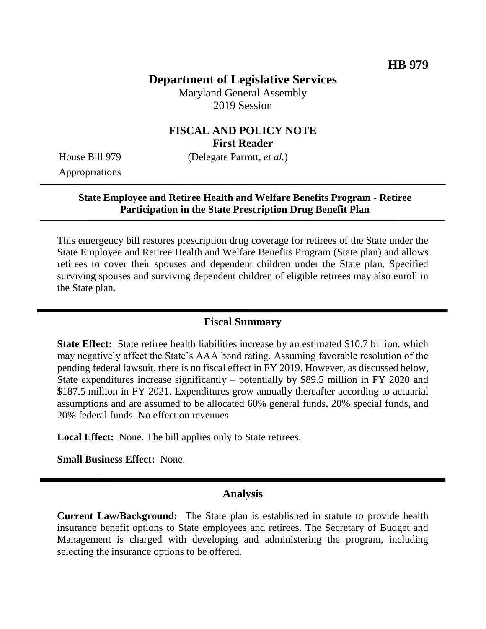# **Department of Legislative Services**

Maryland General Assembly 2019 Session

## **FISCAL AND POLICY NOTE First Reader**

Appropriations

House Bill 979 (Delegate Parrott, *et al.*)

## **State Employee and Retiree Health and Welfare Benefits Program - Retiree Participation in the State Prescription Drug Benefit Plan**

This emergency bill restores prescription drug coverage for retirees of the State under the State Employee and Retiree Health and Welfare Benefits Program (State plan) and allows retirees to cover their spouses and dependent children under the State plan. Specified surviving spouses and surviving dependent children of eligible retirees may also enroll in the State plan.

#### **Fiscal Summary**

**State Effect:** State retiree health liabilities increase by an estimated \$10.7 billion, which may negatively affect the State's AAA bond rating. Assuming favorable resolution of the pending federal lawsuit, there is no fiscal effect in FY 2019. However, as discussed below, State expenditures increase significantly – potentially by \$89.5 million in FY 2020 and \$187.5 million in FY 2021. Expenditures grow annually thereafter according to actuarial assumptions and are assumed to be allocated 60% general funds, 20% special funds, and 20% federal funds. No effect on revenues.

**Local Effect:** None. The bill applies only to State retirees.

**Small Business Effect:** None.

## **Analysis**

**Current Law/Background:** The State plan is established in statute to provide health insurance benefit options to State employees and retirees. The Secretary of Budget and Management is charged with developing and administering the program, including selecting the insurance options to be offered.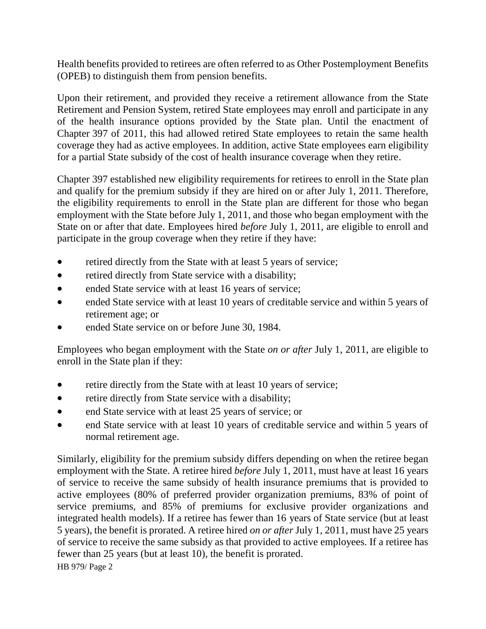Health benefits provided to retirees are often referred to as Other Postemployment Benefits (OPEB) to distinguish them from pension benefits.

Upon their retirement, and provided they receive a retirement allowance from the State Retirement and Pension System, retired State employees may enroll and participate in any of the health insurance options provided by the State plan. Until the enactment of Chapter 397 of 2011, this had allowed retired State employees to retain the same health coverage they had as active employees. In addition, active State employees earn eligibility for a partial State subsidy of the cost of health insurance coverage when they retire.

Chapter 397 established new eligibility requirements for retirees to enroll in the State plan and qualify for the premium subsidy if they are hired on or after July 1, 2011. Therefore, the eligibility requirements to enroll in the State plan are different for those who began employment with the State before July 1, 2011, and those who began employment with the State on or after that date. Employees hired *before* July 1, 2011, are eligible to enroll and participate in the group coverage when they retire if they have:

- retired directly from the State with at least 5 years of service;
- retired directly from State service with a disability;
- ended State service with at least 16 years of service;
- ended State service with at least 10 years of creditable service and within 5 years of retirement age; or
- ended State service on or before June 30, 1984.

Employees who began employment with the State *on or after* July 1, 2011, are eligible to enroll in the State plan if they:

- retire directly from the State with at least 10 years of service;
- retire directly from State service with a disability;
- end State service with at least 25 years of service; or
- end State service with at least 10 years of creditable service and within 5 years of normal retirement age.

Similarly, eligibility for the premium subsidy differs depending on when the retiree began employment with the State. A retiree hired *before* July 1, 2011, must have at least 16 years of service to receive the same subsidy of health insurance premiums that is provided to active employees (80% of preferred provider organization premiums, 83% of point of service premiums, and 85% of premiums for exclusive provider organizations and integrated health models). If a retiree has fewer than 16 years of State service (but at least 5 years), the benefit is prorated. A retiree hired *on or after* July 1, 2011, must have 25 years of service to receive the same subsidy as that provided to active employees. If a retiree has fewer than 25 years (but at least 10), the benefit is prorated.

HB 979/ Page 2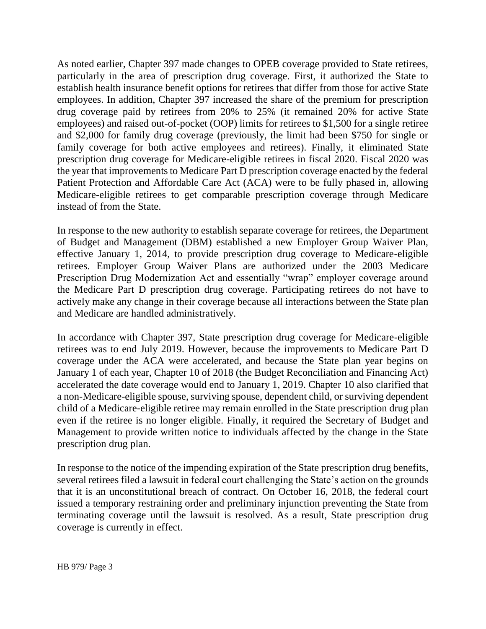As noted earlier, Chapter 397 made changes to OPEB coverage provided to State retirees, particularly in the area of prescription drug coverage. First, it authorized the State to establish health insurance benefit options for retirees that differ from those for active State employees. In addition, Chapter 397 increased the share of the premium for prescription drug coverage paid by retirees from 20% to 25% (it remained 20% for active State employees) and raised out-of-pocket (OOP) limits for retirees to \$1,500 for a single retiree and \$2,000 for family drug coverage (previously, the limit had been \$750 for single or family coverage for both active employees and retirees). Finally, it eliminated State prescription drug coverage for Medicare-eligible retirees in fiscal 2020. Fiscal 2020 was the year that improvements to Medicare Part D prescription coverage enacted by the federal Patient Protection and Affordable Care Act (ACA) were to be fully phased in, allowing Medicare-eligible retirees to get comparable prescription coverage through Medicare instead of from the State.

In response to the new authority to establish separate coverage for retirees, the Department of Budget and Management (DBM) established a new Employer Group Waiver Plan, effective January 1, 2014, to provide prescription drug coverage to Medicare-eligible retirees. Employer Group Waiver Plans are authorized under the 2003 Medicare Prescription Drug Modernization Act and essentially "wrap" employer coverage around the Medicare Part D prescription drug coverage. Participating retirees do not have to actively make any change in their coverage because all interactions between the State plan and Medicare are handled administratively.

In accordance with Chapter 397, State prescription drug coverage for Medicare-eligible retirees was to end July 2019. However, because the improvements to Medicare Part D coverage under the ACA were accelerated, and because the State plan year begins on January 1 of each year, Chapter 10 of 2018 (the Budget Reconciliation and Financing Act) accelerated the date coverage would end to January 1, 2019. Chapter 10 also clarified that a non-Medicare-eligible spouse, surviving spouse, dependent child, or surviving dependent child of a Medicare-eligible retiree may remain enrolled in the State prescription drug plan even if the retiree is no longer eligible. Finally, it required the Secretary of Budget and Management to provide written notice to individuals affected by the change in the State prescription drug plan.

In response to the notice of the impending expiration of the State prescription drug benefits, several retirees filed a lawsuit in federal court challenging the State's action on the grounds that it is an unconstitutional breach of contract. On October 16, 2018, the federal court issued a temporary restraining order and preliminary injunction preventing the State from terminating coverage until the lawsuit is resolved. As a result, State prescription drug coverage is currently in effect.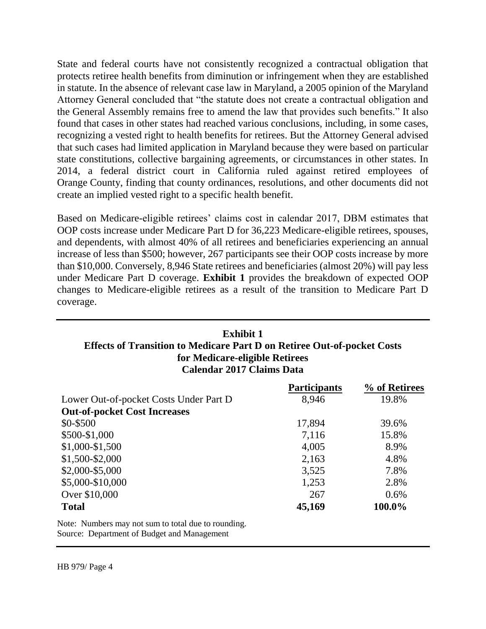State and federal courts have not consistently recognized a contractual obligation that protects retiree health benefits from diminution or infringement when they are established in statute. In the absence of relevant case law in Maryland, a 2005 opinion of the Maryland Attorney General concluded that "the statute does not create a contractual obligation and the General Assembly remains free to amend the law that provides such benefits." It also found that cases in other states had reached various conclusions, including, in some cases, recognizing a vested right to health benefits for retirees. But the Attorney General advised that such cases had limited application in Maryland because they were based on particular state constitutions, collective bargaining agreements, or circumstances in other states. In 2014, a federal district court in California ruled against retired employees of Orange County, finding that county ordinances, resolutions, and other documents did not create an implied vested right to a specific health benefit.

Based on Medicare-eligible retirees' claims cost in calendar 2017, DBM estimates that OOP costs increase under Medicare Part D for 36,223 Medicare-eligible retirees, spouses, and dependents, with almost 40% of all retirees and beneficiaries experiencing an annual increase of less than \$500; however, 267 participants see their OOP costs increase by more than \$10,000. Conversely, 8,946 State retirees and beneficiaries (almost 20%) will pay less under Medicare Part D coverage. **Exhibit 1** provides the breakdown of expected OOP changes to Medicare-eligible retirees as a result of the transition to Medicare Part D coverage.

## **Exhibit 1 Effects of Transition to Medicare Part D on Retiree Out-of-pocket Costs for Medicare-eligible Retirees Calendar 2017 Claims Data**

|                                        | <b>Participants</b> | % of Retirees |
|----------------------------------------|---------------------|---------------|
| Lower Out-of-pocket Costs Under Part D | 8,946               | 19.8%         |
| <b>Out-of-pocket Cost Increases</b>    |                     |               |
| \$0-\$500                              | 17,894              | 39.6%         |
| \$500-\$1,000                          | 7,116               | 15.8%         |
| $$1,000-S1,500$                        | 4,005               | 8.9%          |
| $$1,500 - $2,000$                      | 2,163               | 4.8%          |
| \$2,000-\$5,000                        | 3,525               | 7.8%          |
| \$5,000-\$10,000                       | 1,253               | 2.8%          |
| Over \$10,000                          | 267                 | $0.6\%$       |
| <b>Total</b>                           | 45,169              | 100.0%        |

Note: Numbers may not sum to total due to rounding. Source: Department of Budget and Management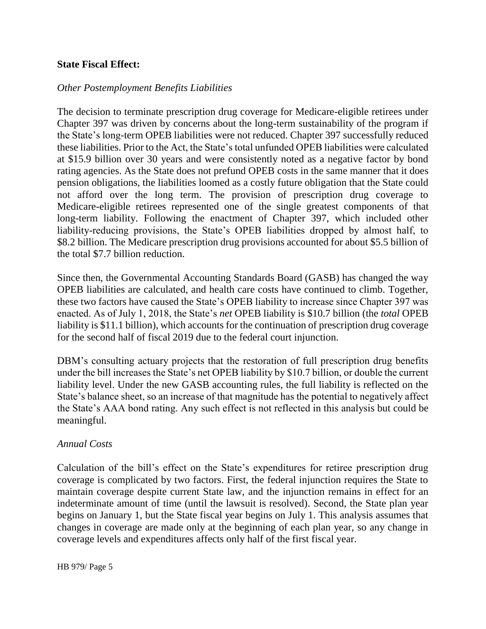### **State Fiscal Effect:**

### *Other Postemployment Benefits Liabilities*

The decision to terminate prescription drug coverage for Medicare-eligible retirees under Chapter 397 was driven by concerns about the long-term sustainability of the program if the State's long-term OPEB liabilities were not reduced. Chapter 397 successfully reduced these liabilities. Prior to the Act, the State's total unfunded OPEB liabilities were calculated at \$15.9 billion over 30 years and were consistently noted as a negative factor by bond rating agencies. As the State does not prefund OPEB costs in the same manner that it does pension obligations, the liabilities loomed as a costly future obligation that the State could not afford over the long term. The provision of prescription drug coverage to Medicare-eligible retirees represented one of the single greatest components of that long-term liability. Following the enactment of Chapter 397, which included other liability-reducing provisions, the State's OPEB liabilities dropped by almost half, to \$8.2 billion. The Medicare prescription drug provisions accounted for about \$5.5 billion of the total \$7.7 billion reduction.

Since then, the Governmental Accounting Standards Board (GASB) has changed the way OPEB liabilities are calculated, and health care costs have continued to climb. Together, these two factors have caused the State's OPEB liability to increase since Chapter 397 was enacted. As of July 1, 2018, the State's *net* OPEB liability is \$10.7 billion (the *total* OPEB liability is \$11.1 billion), which accounts for the continuation of prescription drug coverage for the second half of fiscal 2019 due to the federal court injunction.

DBM's consulting actuary projects that the restoration of full prescription drug benefits under the bill increases the State's net OPEB liability by \$10.7 billion, or double the current liability level. Under the new GASB accounting rules, the full liability is reflected on the State's balance sheet, so an increase of that magnitude has the potential to negatively affect the State's AAA bond rating. Any such effect is not reflected in this analysis but could be meaningful.

#### *Annual Costs*

Calculation of the bill's effect on the State's expenditures for retiree prescription drug coverage is complicated by two factors. First, the federal injunction requires the State to maintain coverage despite current State law, and the injunction remains in effect for an indeterminate amount of time (until the lawsuit is resolved). Second, the State plan year begins on January 1, but the State fiscal year begins on July 1. This analysis assumes that changes in coverage are made only at the beginning of each plan year, so any change in coverage levels and expenditures affects only half of the first fiscal year.